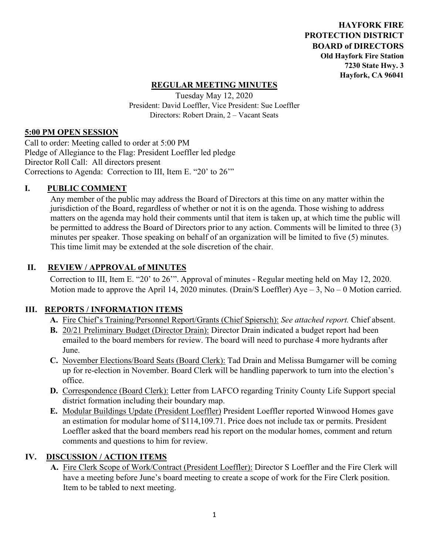**HAYFORK FIRE PROTECTION DISTRICT BOARD of DIRECTORS Old Hayfork Fire Station 7230 State Hwy. 3 Hayfork, CA 96041** 

## **REGULAR MEETING MINUTES**

Tuesday May 12, 2020 President: David Loeffler, Vice President: Sue Loeffler Directors: Robert Drain, 2 – Vacant Seats

#### **5:00 PM OPEN SESSION**

Call to order: Meeting called to order at 5:00 PM Pledge of Allegiance to the Flag: President Loeffler led pledge Director Roll Call: All directors present Corrections to Agenda: Correction to III, Item E. "20' to 26'"

### **I. PUBLIC COMMENT**

Any member of the public may address the Board of Directors at this time on any matter within the jurisdiction of the Board, regardless of whether or not it is on the agenda. Those wishing to address matters on the agenda may hold their comments until that item is taken up, at which time the public will be permitted to address the Board of Directors prior to any action. Comments will be limited to three (3) minutes per speaker. Those speaking on behalf of an organization will be limited to five (5) minutes. This time limit may be extended at the sole discretion of the chair.

### **II. REVIEW / APPROVAL of MINUTES**

 Correction to III, Item E. "20' to 26'". Approval of minutes - Regular meeting held on May 12, 2020. Motion made to approve the April 14, 2020 minutes. (Drain/S Loeffler)  $Aye - 3$ , No – 0 Motion carried.

### **III. REPORTS / INFORMATION ITEMS**

- **A.** Fire Chief's Training/Personnel Report/Grants (Chief Spiersch): *See attached report.* Chief absent.
- **B.** 20/21 Preliminary Budget (Director Drain): Director Drain indicated a budget report had been emailed to the board members for review. The board will need to purchase 4 more hydrants after June.
- **C.** November Elections/Board Seats (Board Clerk): Tad Drain and Melissa Bumgarner will be coming up for re-election in November. Board Clerk will be handling paperwork to turn into the election's office.
- **D.** Correspondence (Board Clerk): Letter from LAFCO regarding Trinity County Life Support special district formation including their boundary map.
- **E.** Modular Buildings Update (President Loeffler) President Loeffler reported Winwood Homes gave an estimation for modular home of \$114,109.71. Price does not include tax or permits. President Loeffler asked that the board members read his report on the modular homes, comment and return comments and questions to him for review.

### **IV. DISCUSSION / ACTION ITEMS**

**A.** Fire Clerk Scope of Work/Contract (President Loeffler): Director S Loeffler and the Fire Clerk will have a meeting before June's board meeting to create a scope of work for the Fire Clerk position. Item to be tabled to next meeting.